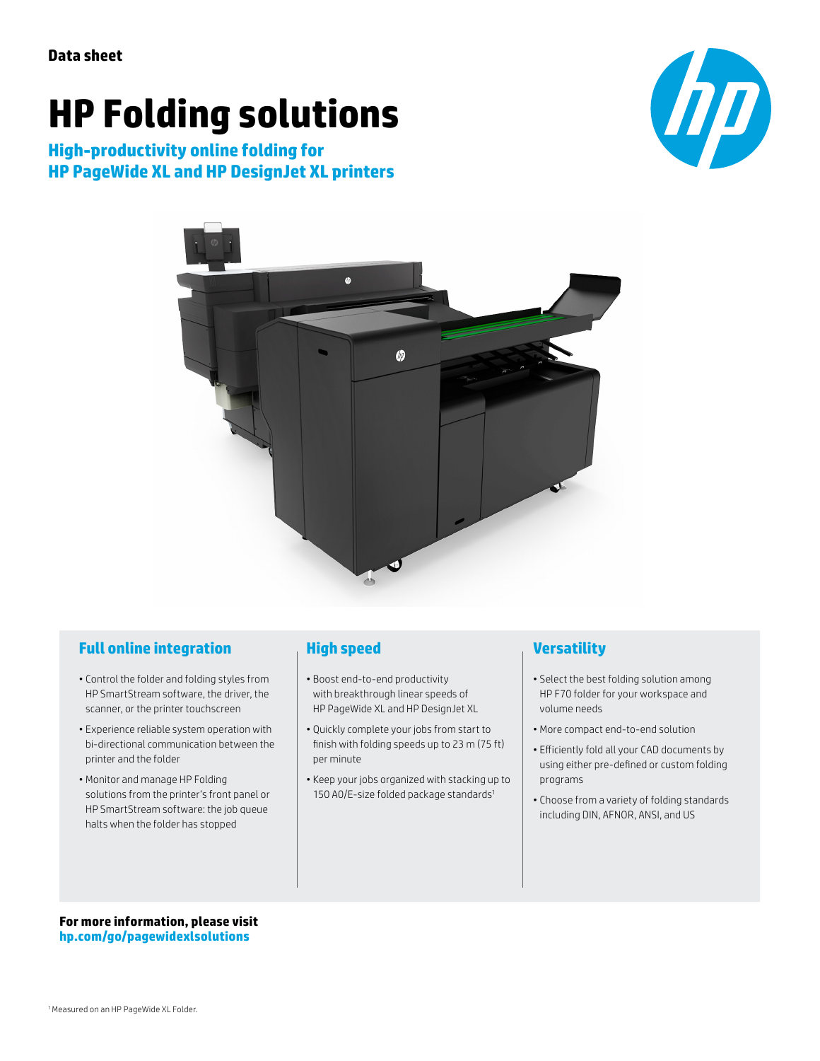# **HP Folding solutions**

**High-productivity online folding for HP PageWide XL and HP DesignJet XL printers**





#### **Full online integration**

- Control the folder and folding styles from HP SmartStream software, the driver, the scanner, or the printer touchscreen
- Experience reliable system operation with bi-directional communication between the printer and the folder
- Monitor and manage HP Folding solutions from the printer's front panel or HP SmartStream software: the job queue halts when the folder has stopped

### **High speed**

- Boost end-to-end productivity with breakthrough linear speeds of HP PageWide XL and HP DesignJet XL
- Quickly complete your jobs from start to finish with folding speeds up to 23 m (75 ft) per minute
- Keep your jobs organized with stacking up to 150 A0/E-size folded package standards<sup>1</sup>

#### **Versatility**

- Select the best folding solution among HP F70 folder for your workspace and volume needs
- More compact end-to-end solution
- Efficiently fold all your CAD documents by using either pre-defined or custom folding programs
- Choose from a variety of folding standards including DIN, AFNOR, ANSI, and US

**For more information, please visit [hp.com/go/pagewidexlsolutions](http://hp.com/go/pagewidexlsolutions)**